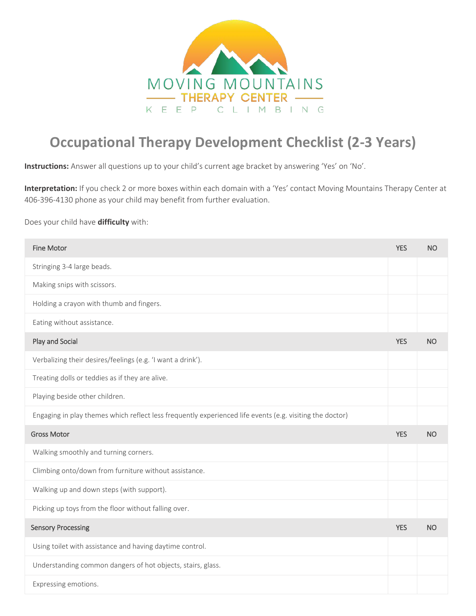

## **Occupational Therapy Development Checklist (2-3 Years)**

**Instructions:** Answer all questions up to your child's current age bracket by answering 'Yes' on 'No'.

**Interpretation:** If you check 2 or more boxes within each domain with a 'Yes' contact Moving Mountains Therapy Center at 406-396-4130 phone as your child may benefit from further evaluation.

## Does your child have **difficulty** with:

| <b>Fine Motor</b>                                                                                        | <b>YES</b> | <b>NO</b> |
|----------------------------------------------------------------------------------------------------------|------------|-----------|
| Stringing 3-4 large beads.                                                                               |            |           |
| Making snips with scissors.                                                                              |            |           |
| Holding a crayon with thumb and fingers.                                                                 |            |           |
| Eating without assistance.                                                                               |            |           |
| Play and Social                                                                                          | <b>YES</b> | NO        |
| Verbalizing their desires/feelings (e.g. 'I want a drink').                                              |            |           |
| Treating dolls or teddies as if they are alive.                                                          |            |           |
| Playing beside other children.                                                                           |            |           |
| Engaging in play themes which reflect less frequently experienced life events (e.g. visiting the doctor) |            |           |
|                                                                                                          |            |           |
| <b>Gross Motor</b>                                                                                       | <b>YES</b> | <b>NO</b> |
| Walking smoothly and turning corners.                                                                    |            |           |
| Climbing onto/down from furniture without assistance.                                                    |            |           |
| Walking up and down steps (with support).                                                                |            |           |
| Picking up toys from the floor without falling over.                                                     |            |           |
| <b>Sensory Processing</b>                                                                                | <b>YES</b> | <b>NO</b> |
| Using toilet with assistance and having daytime control.                                                 |            |           |
| Understanding common dangers of hot objects, stairs, glass.                                              |            |           |